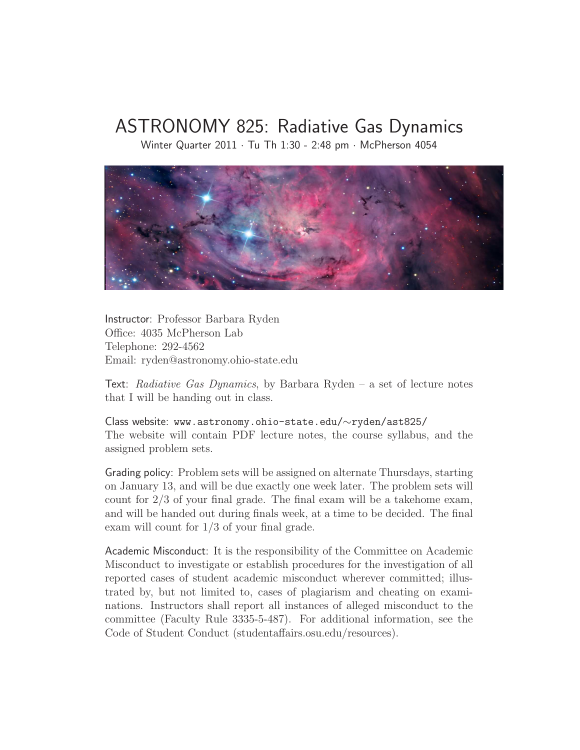## ASTRONOMY 825: Radiative Gas Dynamics

Winter Quarter 2011 · Tu Th 1:30 - 2:48 pm · McPherson 4054



Instructor: Professor Barbara Ryden Office: 4035 McPherson Lab Telephone: 292-4562 Email: ryden@astronomy.ohio-state.edu

Text: Radiative Gas Dynamics, by Barbara Ryden – a set of lecture notes that I will be handing out in class.

Class website: www.astronomy.ohio-state.edu/∼ryden/ast825/ The website will contain PDF lecture notes, the course syllabus, and the assigned problem sets.

Grading policy: Problem sets will be assigned on alternate Thursdays, starting on January 13, and will be due exactly one week later. The problem sets will count for 2/3 of your final grade. The final exam will be a takehome exam, and will be handed out during finals week, at a time to be decided. The final exam will count for 1/3 of your final grade.

Academic Misconduct: It is the responsibility of the Committee on Academic Misconduct to investigate or establish procedures for the investigation of all reported cases of student academic misconduct wherever committed; illustrated by, but not limited to, cases of plagiarism and cheating on examinations. Instructors shall report all instances of alleged misconduct to the committee (Faculty Rule 3335-5-487). For additional information, see the Code of Student Conduct (studentaffairs.osu.edu/resources).